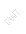**Special Trust Fund for Afghanistan**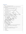## **Table of Contents**

| 1. |      |                                                                                    |  |
|----|------|------------------------------------------------------------------------------------|--|
| 2. |      |                                                                                    |  |
|    | 2.1. | Rationale for the establishment of the Fund to support the ABADEI Strategy and its |  |
|    | 2.2. |                                                                                    |  |
|    | 2.3. |                                                                                    |  |
|    | 2.4. |                                                                                    |  |
| 3. |      |                                                                                    |  |
|    | 3.1. |                                                                                    |  |
|    | 3.2. |                                                                                    |  |
|    | 3.3. |                                                                                    |  |
| 4. |      |                                                                                    |  |
|    | 4.1. | ABADEI Strategy, a Community Resilience Programming Approach - an integrated       |  |
| 5. |      |                                                                                    |  |
|    | 5.1. |                                                                                    |  |
|    | 5.2. |                                                                                    |  |
|    | 5.3. |                                                                                    |  |
|    | 5.4. |                                                                                    |  |
|    | 5.5. |                                                                                    |  |
|    | 5.6. |                                                                                    |  |
| 6. |      |                                                                                    |  |
| 7. |      |                                                                                    |  |
| 8. |      |                                                                                    |  |
|    | 8.1. |                                                                                    |  |
|    | 8.2. | Allocation of funding to the thematic components of eight ABADEI Programmes20      |  |
|    | 8.3. |                                                                                    |  |
|    | 8.4. |                                                                                    |  |
| 9. |      |                                                                                    |  |
|    | 9.1. |                                                                                    |  |
|    | 9.2. |                                                                                    |  |
|    | 9.3. |                                                                                    |  |
|    | 9.4. |                                                                                    |  |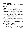# **Special Trust Fund for Afghanistan**

# *ABADEI - Supporting Community Resilience in Afghanistan Programming Strategy*

## **Terms of Reference**

# <span id="page-3-0"></span>**1. Context**

The August 15 power shift in Afghanistan has resulted in severe economic instability in a climate of heightened uncertainty. The country is also experiencing fragility and faces challenges on multiple fronts including COVID-19, poverty, food insecurity, droughts and micro- and macroeconomic impacts. Around 18.5 million of Afghan people need assistance with 3.5 million people displaced<sup>1</sup>. Over 665,000 people were reported by OCHA to have fled their homes due to conflict as of 3 October  $2021^2$ .

The economy is facing multiple shocks including the sudden drop in aid combined with frozen assets abroad, cash shortages, a weakening banking sector, falling trade, accelerating inflation and a depreciating exchange rate. According to the IMF forecast of October 2021, the economy is projected to contract by 30%. UNDP's projections show that poverty may become nearly universal affecting 95-97 % of the population by mid-2022.

Core government functions and the provision of essential services have completely collapsed except for some international assistance that is being provided to maintain access to health services. As humanitarian needs mount, it is imperative to prevent a humanitarian catastrophe and the socio-economic collapse of the country, which would result in increased instability, severe security threats and migratory flows in Afghanistan, the region and beyond.

In this context, UNDP has developed an Area-based Approach for Development Emergency Initiatives Strategy, referred to ABADEI Strategy, to support basic human needs that will enable people and communities to withstand these shocks. The interventions proposed under the ABADEI Strategy, undertaken alongside the humanitarian response, aim to mitigate, and hopefully avert, the immediate impact of the crisis on lives and livelihoods.

# <span id="page-3-1"></span>**2. Rationale for establishing the Special Trust Fund**

In line with the Secretary-General's Emergency Planning Directive on the UN Plan to Support the People of Afghanistan (August 2021), DSRSG/RC/HC, supported by DCO, guides an integrated UN approach with relevant agencies, funds and programmes. This approach is being operationalized with the support of a Working Group under the leadership of UNDP with

<sup>1</sup> [Afghanistan: Humanitarians call for greater support as winter approaches | | UN News](https://news.un.org/en/story/2021/10/1102342)

<sup>2</sup> <https://data.humdata.org/dataset/afghanistan-conflict-induced-displacements-in-2021>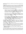participation of the DSRSG/RC/HC, established at the Principals Meeting on 28 August 2021, and chaired by DPPA.

To support UN joint programming in the provision of basic human needs, **a Special Trust Fund for Afghanistan** (hereinafter referred as the Fund) was established on 20 October 2021. The Fund will serve as an inter-agency mechanism to enable donors to channel their resources and coordinate their support to the ABADEI Strategy and the UN joint programmes developed under it.

The Trust Fund will be led by UNDP and implemented in collaboration with other UN Agencies, Funds and Programmes with a focus on the following elements:

- In addition to the many preexisting challenges Afghanistan faces, including the impact of COVID-19, the collapse of the government on 15 August has exacerbated people's vulnerabilities, including due to loss of income, limited access to essential services, lack of basic human rights, systematic discrimination against women and girls, limited coverage of social protection, a weak private sector and high dependence on donor grants.
- Activities under the result areas of the four thematic windows of Fund cover the (i) provision of essential services, (ii) community-based livelihoods and local economies, (iii) protection of farm-based livelihoods from natural disasters, and (iv) the promotion of social cohesion and community resilience.
- Participating UN agencies recognize that: (i) different regions require different solutions which are indivisible and integrated, and (ii) in the current situation, interventions need to be implemented in partnership with local communities, civil society, and the private sector. To implement the ABADEI Strategy, UNDP and Participating UN agencies will use their capacities in country, augmented as needed through surge or other mechanisms.

The ABADEI Strategy represents one of the first large-scale attempts to operationalize a basic human needs approach within the complex and fast evolving context of Afghanistan. Conceptually, it provides an articulation of investments in essential services, livelihoods and community resilience that complement humanitarian efforts by helping households, communities, and the private sector cope with the adverse effects of the crisis.

The ABADEI Strategy aims to promote more effective and joined-up responses by strengthening the collaboration, coherence and complementarity of interventions with those covered through the Humanitarian Response Plan. It does this by providing support to the basic human needs of communities. It is anticipated that, as the conditions change, this support could evolve.

## <span id="page-4-0"></span>**2.1.Rationale for the establishment of the Fund to support the ABADEI Strategy and its programmatic approach**

Over the last 20 years, valuable lessons have been learned on what works and what doesn't in the UN's assistance in Afghanistan. Neither a one-size-fits-all approach nor a fragmented sector-based approach to development interventions has been effective. Instead, a more integrated approach is needed, one that accounts for the significant differences in needs between the provinces and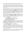regions of Afghanistan and yet also recognizes that humanitarian and development gains in one area are linked to and dependent on humanitarian and development gains in other areas.

The ABADEI Strategy has been designed as a response to the ongoing crisis in Afghanistan upon a call of the UN Executive Committee Working Group for Afghanistan. It offers an integrated yet decentralized approach to programming for community resilience. It proposes an innovative, inclusive and highly flexible approach, that puts people first, targets the most vulnerable and meets specific local needs.

The ABADEI Strategy responds to citizens' needs in the most cost-effective and efficient manner as possible. It articulates how a basic human needs approach can complement humanitarian efforts by helping households and communities cope better with the adverse effects of the current crisis. It is centered on addressing worsening poverty and vulnerability, supporting community resilience and social cohesion, and enabling the rehabilitation of small-scale community infrastructure for essential services and the protection of farm-based livelihoods (e.g., warehouses, village roads and bridges), while creating immediate sources of income through cash-for-work, cash-for markets to safeguard livelihoods that are under threat.

The ABADEI Strategy is grounded in partnerships without which implementation at the local level would not be possible. It capitalizes on the One-UN concept based on partnership with other UN agencies with comparative advantages in the key thematic areas of the Strategy. For this reason, the Fund was established to provide support to the population of Afghanistan. The Fund will initially focus on four thematic areas:

- 1. Provision of Essential Services
- 2. Community-Based Livelihoods and Local Economic Activities
- 3. Protecting Farm-based Livelihoods from Natural Disasters
- 4. Community Resilience and Social Cohesion

The Fund is open to all UN Agencies, Funds and Programmes (UN AFPs). By early November 2021, eight UN agencies have concluded the Memorandum of Understanding for the Special Trust Fund for Afghanistan. The areas of programmatic interest and comparative advantage of the Participating UN APFs are described in Annex 1. This will be further expanded to bring in additional expertise, experience, and resources to joint initiatives.

## <span id="page-5-0"></span>**2.2.Complementary of the Fund with other UN operational activities**

The ABADEI Strategy's joint programmes will complement the humanitarian response to meet the needs of people across multiple areas of vulnerability and enhance short-term resilience by preserving the ability of individuals and communities to cope with the impacts of the conflict, and the economic and public health crisis. The four thematic windows for the ABADEI Strategy will therefore work in complementarity with the Afghanistan Humanitarian Fund and the Central Emergency Response Fund (CERF).

A key linkage with the HRP, in terms of priority setting and targeting, is articulated through the targeting methodology, which is based on compiled key humanitarian indicators and data, including severity of food insecurity, emergency needs, and presence of IDPs.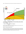



As noted in section 5 below, the governance of the Fund has been designed to enable coordination across other UN interventions through the Advisory Group and the Steering Committee, facilitated by the Fund's Secretariat.

### <span id="page-6-0"></span>**2.3.Windows of the Special Trust Fund for Afghanistan**

The Fund's strategic priorities will focus on the following thematic areas, which will serve as the Thematic Windows of the Fund, as indicated below:

#### **Window 1: Provision of Essential Services**

The objective of this Window is to ensure that people's basic human needs are met beyond what can be addressed through the humanitarian response. Therefore, the activities under these three results areas focus on support for health services and the COVID-19 response, reducing food insecurity, and the energy required to support health and other critical services.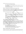This Window includes activities under three results areas:

- IR 1.1 Essential services enabled and sustained.
- IR 1.2 Essential food security and regenerative agriculture infrastructure, inputs and services supported.
- IR 1.3 Basic Renewable energy services supported and sustained (to enable essential and food security service delivery).

#### **Window 2: Community-Based Livelihoods and Local Economic Activities**

The objective of this Window is to safeguard livelihoods so that communities can continue to function. The activities under four results areas focus on a range of social protection measures and the creation of income generation opportunities (especially for women) at the community level.

This Window includes activities under four results areas:

- IR 2.1 Households in high poverty, high insecurity areas provided with basic income (TBI).
- IR 2.2 Local level livelihoods and economies sustained through Cash for Work (CfW) and Cash for Market (CfM), including skills development and entrepreneurial activities.
- IR 2.3 Local Private Sector Development through technical and financial support to informal and formal businesses, including assisting SMEs to access and/or expand to new market areas, support to local traders, to women-led and community-led enterprises.
- IR 2.4 Cross border trade and access to markets supported.

#### **Window 3: Protecting Farm-based Livelihoods from Natural Disasters**

The objective of this Window is to ensure that natural resources - particularly water supply - upon which lives, livelihoods and rapid socio-economic support critically depend, are managed as sustainably as possible in a crisis context. Therefore, the activities under the four results areas focus on providing short-term emergency support that ensures continued access to critical resources whilst at the same time generating income opportunities and engaging communities in designing and implementing projects that lead to collective outcomes.

This Window includes activities under results areas as follows:

- IR 3.1 Community preparedness for disasters improved.
- IR 3.2 Disaster resilient infrastructure in place.
- IR 3.3 Water security and access enhanced through climate-smart systems.
- IR 3.4 Natural ecosystem restoration and management supported.

#### **Window 4: Community Resilience and Social Cohesion**

The objective of this Window is to support the development of community-led needs-based socioeconomic recovery plans that promote reconciliation and prevent conflict, improve access to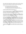justice, support alternative dispute resolution mechanisms, and protect the rights of women and girls. Interventions will be implemented in a participatory manner to ensure that activities are responsive to local needs and priorities and contribute to community resilience building.

This Window includes activities under four results areas as follows:

- IR 4.1 Communities for peace and social cohesion reinforced.
- IR 4.2 Improved gender equality and women's empowerment.
- IR 4.3 Rights-based access to justice, human rights and security fostered.
- IR 4.4 Community-led needs-based local recovery and resilience plans identified.

#### **Leaving No One Behind (LNOB) and Gender Equality**

The Fund's programmes will be consistent with the principle of Leaving No One Behind (LNOB), with a focus on marginalized populations or any group facing multiple and intersecting forms of discrimination, including disabled people, youth, sexual and gender-based violence victims, climate refugees, the unemployed, the homeless, and nomads (Kuchi).

Female community members are particularly affected by the crisis, being exposed to significant restrictions and human rights abuses. The Fund's programmes will promote women empowerment and participation in a prudent, tangible and realistic way that will create no unintended negative consequences to the women involved, their families or communities.

The Fund's participating organizations will engage local stakeholders in a manner that aims to reduce inequalities, mainstream gender equality principles, and promote the dignity and rights of girls and women by facilitating greater access for women to health care, social protection, vocational training and agricultural livelihoods. The objective is also to provide psychosocial support and counselling, particularly to survivors (women and girls) of gender-based violence.

In addition, interventions will strengthen women's organizations and self-help groups that provide safe spaces to protect women and children from instability, fragility and insecurity. They will help women and survivors to participate actively in social dialogues, peace committees, local level resilience planning committees and provide alternative livelihoods to the families and women who have lost their source of income due to the current social, economic and political context.

A gender marker will be integrated into the ABADEI Strategy to set targets for allocations to programmes serving women and girls, and to monitor the share of allocations serving women and girls.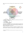Figure 2: Special Trust Fund for Afghanistan (STFA), supporting four pillars of the ABADEI Strategy



To address other high priority needs, other Windows could be established upon the decision of the Steering Committee of the Fund.

### <span id="page-9-0"></span>**2.4.Joint Programmes**

#### **2.4.1 Eight ABADEI Joint Programmes**

All eight administrative regions of the country (see below) will benefit from interventions of the Fund to deliver support in the four thematic areas. Eight regional joint programmes will be designed in key areas of essential services, livelihoods, social cohesion and resilience with an **initial 12–24-month timeline** for implementation.

Targeting and prioritization of interventions by Participating UN Organisations<sup>3</sup> under the ABADEI Strategy will be guided by community needs (poverty, vulnerability), level of essential services, exposure to economic and /or climatic shocks, the Humanitarian Access Group's

<sup>&</sup>lt;sup>3</sup> UN Agencies, Funds and Programmes that signed the Memorandum of Understanding for the Special Trust Fund for Afghanistan.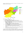assessment of district-level access restrictions, and capacity of UN Agencies, Funds and Programmes to deliver on the ground.



The Eight Regions of Afghanistan

- 1. Western Region (comprises Badghis, Herat and Farah provinces)
- 2. Eastern Region (comprises Kunar, Laghman, Nuristan, and Nangarhar provinces)
- 3. Central Region (comprises the national capital Kabul, Kapisa, Logar, Maidan Wardak, Panjshir and Parwan provinces)
- 4. North Eastern Region (comprises Badakhshan, Baghlan, Kunduz and Takhar provinces sharing international borders with Tajikistan, China and Pakistan)
- 5. Central Highlands Region (comprises Daikundi, Bamyan and Ghor provinces)
- 6. Northern Region (comprises Jawzjan, Faryab, Balkh, Sari-Pul and Samangan provinces and shares international borders with Uzbekistan and Turkmenistan)
- 7. Southern Region (comprises Kandahar, Helmand, Zabul, Uruzgan and Nimroz provinces)
- 8. South Eastern Region (comprises of five provinces of Ghazni, Paktiya, Paktika, Khost and Logar, three of which are sharing border with Pakistan)

To address the complex challenges of displacement in Afghanistan and to support sustainable reintegration and foster social cohesion, the ABADEI Strategy will include interventions in the Priority Areas of Return and Reintegration (PARR) in each of the eight regions of Afghanistan.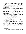The Priority Areas of Return and Reintegration in Afghanistan were endorsed by the UN Secretary-General at the UN Executive Committee Meeting of 25 March 2020, as a concrete confidence-building effort ensuring coordinated and targeted area-based humanitariandevelopment-peace investments, with a common vision to create momentum towards the establishment of conditions for sustainable return and reintegration, by tackling the drivers of displacement and humanitarian crises, through a whole-of-society approach.

## **2.4.2 Joint UN Programming**

Participating UN Organizations (PUNOs) will be partnering across existing and newly identified portfolios, leveraging on their respective areas of expertise in the key results areas of the ABADEI Strategy, in each of the eight regions of Afghanistan.

The value-added of such a collaborative approach to implementation includes sharing data and knowledge, sharing and managing risks, co-location of physical presence, shared resources and pooled funding, extended reach through existing projects and networks of implementing partners, shared long-term agreements with vendors for services, and cooperation around joint monitoring and reporting arrangements.

The eight ABADEI Joint Programmes include cross-cutting activities and are specifically focused on supporting human rights, protection, gender equality issues, and transparency and accountability, which will be coordinated with existing UN initiatives to ensure complementarity of the programs based on new realities and to avoid duplication.

The Fund's Technical Secretariat will ensure coordination with the relevant humanitarian clusters.

### **Increasing Coherence**

Pooled funds have demonstrated that they can play a very effective role in increasing the overall coherence in programming. The pooled funding mechanism will serve to complement rather than substitute agency-specific funding.

The governance structure of the Fund allows a wide range of partners (UN Agencies, Funds and Programmes, along with the donors) to collectively agree on priorities and strategies. As a result, they will create synergies and complementarities not only amongst programmes funded by the Fund, but also more widely with programmes funded from other sources and implemented by other partners. As noted in section 5, the governance structure of the Fund will be used to support synergies and complementarities between the programmes funded by STFA and other funding instruments and programmes, including the Afghanistan Humanitarian Fund and the Central Emergency Response Fund (CERF).

### **Increasing transparency**

The Fund will provide increased transparency on planning, implementation, and delivery of results in the programming regions:

- By including a broad representation of stakeholders in the governance structure of the Fund, it will enable them to participate in the decision-making process and consequently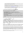to access all the information and data, shaping the decisions and all the reports on activities undertaken, challenges faced and results achieved.

- By pooling resources contributed towards activities that support basic human needs in the jointly agreed priority areas, it will provide a consolidated overview of funds allocated and joint reporting on the implementation progress and results achieved.
- By posting all information on the [MPTF Office Gateway,](http://mptf.undp.org/) all partners will have easy access to real-time information on the funding status (commitments and deposits by donors, transfers made to implementing partners, progress reports, etc.)

# <span id="page-12-0"></span>**3. Key Features of the Special Trust Fund for Afghanistan**

### **Key Features of the Special Trust Fund for Afghanistan**

- **Ensure flexible financing** by resourcing support to basic human needs
- **Increase coherence** by promoting coordination and synergies across all actors
- **Enable ABADEI Strategy** implementation by ensuring locally-led, context-specific analysis and joint programme design
- **Increase transparency** through joint reporting and broad stakeholder participation in the Fund's governance
- **Share risks among all stakeholders** by assisting in establishing a common understanding of risks, and allowing for more efficient and strategic risk mitigation and adaptation measures

## <span id="page-12-1"></span>**3.1.Direct Implementation (DIM)**

The implementation of the ABADEI Strategy will be undertaken by the Participating UN Organizations, maximizing the use of the Direct Implementation Modality (DIM) or similar modalities in line with participating UN organizations rules and regulations, including the direct contracting of third-party implementers. Third-party implementers include non-governmental organizations (NGOs), local community groups, private vendors, and vetted money service providers<sup>4</sup>.

Flexibilities of the UN procurement will be leveraged to make use of the benefits of existing contracts. Long Term Agreements (LTAs) will be used by the UN Agencies, Funds and Programmes under the agreed 'mutual recognition' principle of the UN development system.

As part of its interventions, the Fund will support low-value direct grants (LVGs) to support micro and small enterprises (priority to women-headed) and informal local networks with the primary aim to build area-specific local level capacities. In this regard, the Fund will align interventions with **the Cash and Voucher Working Group** established under the UN Humanitarian Country Team (HCT) and the HCT cluster coordination mechanism. At the same time, **HCT's**

<sup>4</sup> For example, UNDP's network currently has over 70 partners, including NGOs/INGOs/Local Companies that are available and active, with many more being assessed for selection.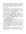**Humanitarian Access Group (HAG)** has been closely engaged in the design, risk mitigation, implementation modalities, and identification of partnering needs of the ABADEI Strategy. In addition, UN security personnel capacity will be enhanced to systematically facilitate coordination with HAG and support agile monitoring and risk management for the implementation of the join programmes. Furthermore, Community Development Committees in the eight regions will be actively engaged, following the completion of a comprehensive risk assessment.

## <span id="page-13-0"></span>**3.2. Flexible Financing**

Maximizing the synergies of the work of the UN Agencies on the ground, especially in the current situation, is a priority objective to achieve better results in the current context. Unfortunately, rather than bridging the efforts of various partners, some financing instruments may contribute to further dividing the streams of external assistance. By establishing the Fund, the intent is to turn funding from a divider into an enabler by providing resources to joint programmes and activities.

## <span id="page-13-1"></span>**3.3. Enabling the ABADEI Strategy for Community Resilience**

The Fund will play an effective role towards promoting stronger local focus in the way resources are programmed. Through the ABADEI Strategy, the Fund will incentivize locally led analysis and the design of local strategies that take into account the unique characteristics of the area and local conditions. The Fund is an instrument that will place local communities at the heart of delivering locally relevant programming. Both the contextual analysis and identification of priority actions will be responsive to and build on the knowledge and experience of local actors ensuring support for existing capacities and initiatives rather than applying a set of predetermined standardized activities designed at the national level.

## <span id="page-13-2"></span>**4. The Fund Programmatic Framework**

## <span id="page-13-3"></span>**4.1. ABADEI Strategy, a Community Resilience Programming Approach - an integrated programme tailored to eight regions**

In this context, the Fund will focus on a decentralized ABADEI portfolio of projects that will allow direct work with beneficiary communities through civil society, micro and small enterprises, targeting mainly vulnerable groups and communities, in line with the principle of Leaving No One Behind (LNOB). The value proposition of the ABADEI Strategy lies in its contribution to preserving human, social, and institutional capital in a context of multi–dimensional crisis, serving as a bridge between short-term humanitarian life-saving assistance and the safeguarding of livelihoods and community resilience. The Programme also represents a paradigmatic shift in the way resources are used, incorporating innovation to ensure flexibility and responsiveness to needs, while also managing elevated risks.

Under the ABADEI Strategy, eight regional joint programmes will be designed based on the available, needs-based analysis of socio-economic needs and the urgency in each of these provinces (regions), with prioritized interventions in key areas of essential services, livelihoods, social cohesion, and resilience, and with an initial 12–24-month timeline for implementation to be completed.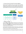## <span id="page-14-0"></span>**5. Governance Structure for the Special Trust Fund for Afghanistan**

The Special Trust Fund for Afghanistan will have a two-tier decision-making and coordination structure, through the Advisory Board and Steering Committee. At the technical level, programming will be coordinated by the Technical Coordination Working Group (TCWG) accordingly, overseeing the Fund. The TCWG will be coordinated by the Fund Secretariat - the Trust Fund Management Unit (TFMU). Decision-making will rest with the Steering Committee, supported through the secretariat functions by the TFMU as reflected below (see also section 5.2).



### <span id="page-14-1"></span>**5.1. High-Level Advisory Board**

An Advisory Board, chaired by the Deputy Special Representative of the Secretary General/UN Resident Coordinator/Humanitarian Coordinator, with participation by the UNDP Resident Representative, as well as representation by donors (one donor will represent on behalf of the donors, which will rotate periodically) and the UN agencies (one UN agency on behalf of the UN Country Team (UNCT) and the Humanitarian Country Team (HCT), which will be nominated by the Steering Committee and rotate periodically).

The Advisory Board will meet quarterly, and whenever deemed necessary. It will provide overall guidance and advice to the Fund Steering Committee on strategic and policy issues, in addition to the overall efficiency and responsiveness of the funds and its activities. The Board will facilitate the coherence of the Fund's operations with other funding instruments.

This Advisory Board also serves as a consultative forum to share information on funding coverage to strengthen donor coordination and to avoid duplication of funding. Due to the advisory nature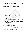of the Board, its recommendations on the strategic direction of the Fund will be issued by the DSRSG/RC/HC, recusal procedures do not apply to its membership.

## <span id="page-15-0"></span>**5.2. Steering Committee (SC)**

The governance structure of the Fund is led by the Steering Committee (SC), which will be chaired by the UNDP Resident Representative and will include the following members:

- Representatives of contributing donors
- At least two representatives of Participating UN Organizations
- The Fund Secretariat (ex-officio member)
- The Administrative Agent (ex-officio member)

To strengthen coherence and ensure strategic cooperation, the Head of the Afghanistan Humanitarian Fund Secretariat will be invited as an observer to the SC meetings. The Trust Fund Management Unit will also establish coordinating arrangements with the office of the Resident Coordinator.

The Steering Committee will be responsible for:

- $\checkmark$  Reviewing and approving the final TOR of the Fund at its first Steering Committee meeting
- $\checkmark$  Providing oversight and exercising overall accountability of the Fund
- $\checkmark$  Approving funding priorities defined by a regularly updated funds strategy
- $\checkmark$  Reviewing and approving funding for joint UN programmes after vetting by the Fund Secretariat, ensuring their conformity with the scope and requirements of the Fund
- $\checkmark$  Leading the resource mobilization efforts
- $\checkmark$  Instructing the Administrative Agent to disburse the resources to the Participating UN **Organizations**
- $\checkmark$  Reviewing the Fund status and its overall progress
- $\checkmark$  Reviewing and approving the periodic progress reports (programmatic and financial) consolidated by the Fund Secretariat and the Administrative Agent, based on the progress reports submitted by the Participating UN Organizations
- $\checkmark$  Commissioning reviews and "lessons learned" reports on the performance of the Fund; and
- $\checkmark$  Approving amendments to the Terms of Reference of the Fund, as required after due consultation with stakeholders
- $\checkmark$  Nominating the UN entity which will be representing all relevant UN Agencies, Funds and Programmes at the Advisory Board during the agreed period

The Steering Committee will meet every month, and if required more frequently, to review the Fund's operations and adopt the Fund's activities as required.

### <span id="page-15-1"></span>**5.3. The Fund Secretariat – Trust Fund Management Unit (TFMU)**

The Trust Fund Management Unit (TFMU) is the Fund Secretariat and is the entity responsible for the operational functioning of the Fund and provides technical and management support to the SC.

The Secretariat, hosted within UNDP, performs the following functions: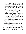- $\checkmark$  Execute and coordinate all management functions of the Fund, including the implementation of decisions made by the Steering Committee
- $\checkmark$  Plan and prepare meetings of the Steering Committee and hold records of decisions through minutes of the meetings; and support organizing the Advisory Board meetings.
- $\checkmark$  Facilitate the work of the technical coordination working group
- $\checkmark$  Review and analyze programme proposals together with the Technical Coordination Working Group
- ✓ Submit Fund Transfer Requests, signed by the Chair of the Steering Committee, to the Administrative Agent
- $\checkmark$  Facilitate collaboration and communication between Participating Organizations to ensure programmes are implemented effectively
- $\checkmark$  Facilitate systematic cooperation with the Afghanistan Humanitarian Fund
- $\checkmark$  With the support of the Administrative Agent, elaborate an Operations Manual, in accordance with signed legal agreements, and ensure compliance with it
- $\checkmark$  Ensure monitoring and control of operational risks (update the risk monitoring matrix regularly).
- $\checkmark$  Support monitoring and evaluation of programme implementation
- $\checkmark$  Consolidate the narrative of annual and final reports submitted by recipient organizations. and present reports to the Steering Committee for review and the Administrative Agent for consolidation of narrative and financial reports
- $\checkmark$  Draft the resource mobilization strategy and support the Steering Committee with its implementation
- $\checkmark$  Recommend revisions of the TOR of the Fund, to the Steering Committee, if and when necessary
- $\checkmark$  Manage and support communication, public information, and visibility
- $\checkmark$  Liaise with the Administrative Agent on Fund administration issues, including issues related to programme/Fund extension and programme/Fund closure
- $\checkmark$  Bring together technical expertise from the participating UN organisations to review the coherence of the eight ABADEI Programmes

The Secretariat can also use informal mechanisms to interact with donors at the technical level to prepare for the Steering Committee meetings.

The costs of the Secretariat are charged to the Fund as direct costs. The budget for the Secretariat is submitted to the Steering Committee on an annual basis and the Secretariat staffing structure is adjusted by the Steering Committee as per needs and budget availability.

### <span id="page-16-0"></span>**5.4. Technical Coordination Working Group (TCWG)**

The Technical Coordination Working Group will be composed of representatives of UN agencies and donors. It will be tasked to prepare and regularly review / update recommendations for the Fund's 'Allocation Strategy' (See Section 8), including geographic and thematic prioritization criteria, for the consideration of, and final decision by, the Steering Committee. The TCWG will, in this process, ensure that prioritization criteria are well informed by actual needs reported from the field, as well as with relevant Humanitarian coordination mechanisms (under the Humanitarian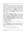Response Plan), with a view to leverage their needs assessments and ensure complementarities in the prioritization exercise.

Following the approval of the 'Allocation Note'<sup>5</sup>, the TCWG will coordinate the technical review of ABADEI thematic components for each region. Such a review will be preceded by a prescreening exercise led by TFMU, which will ensure minimum quality standards are met prior to submission to the TCWG. Upon completion of the technical review, the TCWG will, through the Fund Secretariat, make recommendations to the Steering Committee based on the pre-established 'Allocation Strategy' to finance the highest priority components of each of the joint programmes – this entails that different components of each joint programme will be funded in the first round, based on the technical consideration. It will also provide technical guidance and high-level oversight to ongoing projects and make recommendations to ensure synergies and efficiencies are capitalized across thematic windows and/or regions as much as possible – with a view to minimizing potential duplications and facilitating/promoting collaboration, complementarities, and economies of scale.

## <span id="page-17-0"></span>**5.5. The Participating UN Organizations**

Resources will be allocated to Participating UN Organizations (PUNO), i.e. the UN - AFPs that have signed the Memorandum of Understanding with the Administrative Agent, based on eight regional joint UN programmes and allocation-specific work plans submitted by a designated lead/convening agency on behalf of PUNOs. While each PUNO will assume full programmatic and financial accountability for the funds disbursed to it by the Administrative Agent, the designated lead agency will be responsible for coordination of interventions at regional level between PUNOs. Allocated funds will be administered by each PUNO in accordance with its own regulations, rules, directives and procedures. Indirect costs of the PUNO recovered through programme support costs will be harmonized at 7%. Implementing Partners can receive funding from the Fund through the PUNOs.

### <span id="page-17-1"></span>**5.6. The Administrative Agent (AA)**

The Fund is administered by the UNDP Multi-Partner Trust Fund Office (MPTF Office), acting as the Administrative Agent.

The below description of the responsibilities of the Administrative Agent is based on the UNDG "Protocol on the Administrative Agent for Multi-Donor Trust Funds, Joint Programmes, and One UN Funds". The Administrative Agent is entitled to allocate an administrative fee of one percent (1%) of the amount contributed by each donor, to meet the costs of performing the Administrative Agent function.

The Administrative Agent is responsible for the following functions:

 $\checkmark$  Support the design of the Fund, including the development of the Fund TOR

<sup>&</sup>lt;sup>5</sup> This includes the thematic components of eight regional programmes as well as new programmes under the new windows of the fund.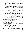- $\checkmark$  Conclude the Memorandum of Understanding (MOU) with the Participating UN Organizations and the Standard Administrative Arrangements (SAAs) with contributing partners
- $\checkmark$  Receive contributions from donors that wish to provide financial support to the Fund; Administer such funds received including winding up the Fund and related matters
- $\checkmark$  Subject to availability of funds, transfer such funds to Participating UN Organizations upon instructions from the Steering Committee
- $\checkmark$  Provide to donors an annual consolidated report and a final consolidated report based on narrative and financial reports provided by Participating UN Organizations
- $\checkmark$  Disburse funds for any additional costs of the tasks that the Steering Committee may decide to allocate
- $\checkmark$  Ensure that the Steering Committee and Secretariat are duly informed of the applicable UN(DG) policies and procedures relevant to fund operations, and, upon request, benefit from knowledge management support and advisory services on aspects of fund operations

In addition, the MPTF Office through its GATEWAY [\(http://mptf.undp.org/\) o](http://mptf.undp.org/))ffers a web-based service portal, which provides real-time financial data generated directly from its accounting system. It provides all partners and the general public with the ability to track information on contributions, transfers and expenditures.

# <span id="page-18-0"></span>**6. Contributions to the Fund**

Contributions to the Fund may be accepted from the Member States, regional bodies, intergovernmental organizations, non-governmental organizations, businesses, foundations, and individuals. Contributors are encouraged to provide un-earmarked contributions, which will be programmed by the Steering Committee, supported by the Secretariat. If due to specific donor preferences the un-earmarked contributions are not feasible, contributors may earmark their contribution towards specific thematic Windows or geographic region.

Contributions may be accepted in fully convertible currency. Such contributions will be deposited into the bank account designated by MPTF Office. The value of contribution payment, if made in other than US dollars, will be determined by applying the United Nations operational rate of exchange in effect on the date of payment.

In addition to the new contributions from donors, the unutilized unearmarked and earmarked balances from the Fund account may be accepted upon agreement with each donor through concluding the relevant contribution agreement.

## <span id="page-18-1"></span>**7. Partnerships and implementation arrangements**

Resources will be allocated to Participating UN Organizations, i.e. the UN Agencies, Funds and Programmes that have signed the Memorandum of Understanding with the Administrative Agent, based on the submission of joint programmes / workplans. Each Participating UN Organization will assume full programmatic and financial accountability for the funds disbursed to it by the Administrative Agent. Such funds will be administered by each Participating UN Organization in accordance with its own regulations, rules, directives, and procedures. Indirect costs of the Participating UN Organizations recovered through programme support costs will be harmonized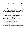at 7%. Implementing Partners can receive funding from the Fund through Participating UN Organizations. The list of Participating UN Organizations can be found in Annex I.

Furthermore, the PUNOs will have a vast network of vetted NGOs/CSOs that will be engaged in implementing the activities at the local level.

## <span id="page-19-0"></span>**8. General Allocation Strategy**

## <span id="page-19-1"></span>**8.1. The selection of priority areas**

While drawing on all available existing analysis, the Fund is intended to ensure adaptive, flexible and responsive programming relevant to the shifting situation in Afghanistan. As such the Steering Committee will be guided by immediate strategic local socio-economic and community resilience priorities, drawing on the analysis and recommendations of the Technical Coordination Working Group and Secretariat. Where required, the Steering Committee may request additional analysis and needs assessments to ensure the most effective and appropriate use of funds and guarantee selection of areas where a positive and sustainable impact can be achieved.

### <span id="page-19-2"></span>**8.2. Allocation of funding to the thematic components of eight ABADEI Programmes**

At the time of initial resource approvals, the Fund will not hold or have secured the commitment of all required funds. The Fund should start its operations as soon as the first contribution is received.

To ensure that the funds can be strategically, appropriately, and effectively allocated to competing demands of eight ABADEI programmes, the periodic Allocation Notes will be used to help match mobilized resources to the ABADEI projected requirements. The Allocation Note will on a realtime basis:

- Summarize the current availability of secured funds, and any earmarks applied by Partners.
- Identify immediate funding priorities (including clear costed components) for each of the eight ABADEI programmes.
- Identify / update geographic target areas for each of the eight region.

The Steering Committee determines which of those priorities will receive funds from each allocation round, and lead/convening agencies on behalf of PUNOs participating in the specific regional joint UN programme will be invited to prepare allocation-specific work plans and budgets to request funding.

Funding decisions are based on the degree to which these work plans respond to the strategic priorities of the relevant allocation round as well as the amounts of funds that are available at a given time also considering thematic and/or geographic earmarks that may apply.

The Allocation Notes will be approved by the Steering Committee.

### <span id="page-19-3"></span>**8.3. Allocating the tranches of funding to each ABADEI Programme**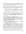Each of the eight ABADEI joint programmes is submitted by the designated lead/convening agency on behalf of the Participating UN Organizations through the TFMU, which will coordinate the review with the TCWG. The composition of the TCWG will ensure adequate technical expertise in the thematic areas covered by the programme proposals.

The fund allocation for the first allocation round will be determined according to how effectively the workplan and sequence of activities in each of the eight programmes address the needs and priorities on the ground as well as relevance to the overall ABADEI Strategy priorities and key criteria. All ABADEI component submissions will have to demonstrate

- $\checkmark$  Leveraging comparative advantage and adopting a collaborative approach between UN Agencies, in case of joint programmes, and implementing partners to reach a collective outcome,
- $\checkmark$  Resulting from consultations at the local level and ensure active participation of both local civil societies, as applicable

For all future allocation rounds, the lead agencies will only be required to prepare additional work plans responding to the allocation strategy of the relevant round. The work plans will be accompanied by a short narrative in cases where provisions of the existing programme document need to be adapted. All other provisions of the initial joint programme document remain in place.

## <span id="page-20-0"></span>**8.4. Transfer of funds**

The Secretariat will prepare a fund transfer request for each programme/project and fund allocation approved by the Steering Committee, which will be signed by the Chair of the Steering Committee. The Administrative Agent will process the approved fund allocations and transfer the corresponding amounts to the Participating UN Organizations within five business days following the receipt of the transfer request. As soon as the fund transfer has been processed, the Administrative Agent will notify by email both the Representative of the Participating UN Organization receiving the funds and the Fund Secretariat.

# <span id="page-20-1"></span>**9. Monitoring, Evaluation, Knowledge Management, Audit, and Reporting**

## <span id="page-20-2"></span>**9.1. Monitoring and Evaluation (M&E) of the Programmes**

Monitoring and Evaluation of the agency-specific projects and joint programmes funded under the Fund will be undertaken in accordance with the provision contained in the agency-specific projects and joint programmes submitted by concerned Participating UN Organizations, which are consistent with the respective rules, regulations, and procedures of the Participating UN Organizations. The TFMU M&E Unit will oversee the delivery of M&E by participating UN organizations, ensuring that all monitoring, analysis and reporting are carried out to the required standards and timeframes. This is a compliance function, in which the TFMU M&E unit exercises quality assurance oversight. The M&E system will include a robust network of third-party monitors as well as an integrated (remote, ICT and community-based) monitoring mechanism.

To monitor the changing situation in the country and the related risks of implementing the activities resourced through the Fund, UNDP's Integrated Risk Management Unit will continuously assess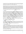and manage risks which can also support activities of other PUNOs. This action-oriented capacity is meant to ensure a consistent "DO NO HARM" approach to interventions, and to support the agile adaptation of programmes given the rapidly changing context.

The main purpose of the Unit is to take stock of and analyze the risks and mitigation measures identified and report them to the Steering Committee to support timely evidence-based decisionmaking for programme planning and implementation. Donor partners will be regularly informed and consulted through the Steering Committee about the risks faced by the Fund, and the proposed mitigation measures. UNDP's Integrated Risk Management Unit could support the activities of the UN participating organisations of the STFA, closely working with the UN RC office. The Fund will continuously monitor and adjust its activities as conditions on the ground evolve.

## <span id="page-21-0"></span>**9.2. Reporting**

For each joint UN programme/project approved for funding, each Participating UN Organization will provide regular narrative and financial reporting to the designated lead/convening agency in accordance with their accounting and reporting procedures and as per the provisions on the programme document and the Memorandum of Understanding signed. The lead/convening agency will compile the annual and final programme narrative report for each joint programme and submit it to the Fund Secretariat and the Administrative Agent, as agreed upon in the legal agreements signed with the Administrative Agent. The annual and final reports will be results-oriented and evidence-based. The reports will give a summary of results and achievements compared to the expected result in the project document. The Administrative Agent will receive from each Participating UN Organization and consolidate the annual and final financial reports. Programmatic performance indicators will be monitored at the outcome and output levels.

Reports will be used by the Steering Committee to review the overall progress against expected results and assess the achievement of performance targets.

### <span id="page-21-1"></span>**9.3. Evaluation**

The Steering Committee will commission an independent review/evaluation/lessons learned exercise on the overall performance of the Fund. The aim of this evaluation will be to study the various performance measurements of the Fund and provide specific recommendations to the Steering Committee for possible adjustments in the functioning of the Fund.

### <span id="page-21-2"></span>**9.4. Risk Management**

The Fund is a risk-sharing mechanism among all stakeholders. This mechanism can also assist in establishing a common understanding of risks and can provide risk mitigation and adaptation measures more efficiently and strategically. Risk sharing is a key element of the due diligence and operationalization of the Fund, and it is understood that the residual risk is shared among all stakeholders. Three types of risks - contextual, programmatic, and institutional - will be considered and provisions for the identification, monitoring, tolerances, and risk responses will be elaborated as part of the risk management strategy.

A risk management strategy, including a risk rating matrix, is to be developed by the Fund Secretariat in the first three months after the establishment of the Fund for approval by the Steering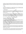Committee. It will capture the hierarchy of risk at different levels, allowing an assessment of the most appropriate responses to the identified risks, particularly to those risks most likely to impede success (critical and high risks). The Fund's systems will ensure compliance with the applicable sanctions.

## <span id="page-22-0"></span>**9.5. Audit**

In line with the audit provisions in the standard MOU and SAA, the Administrative Agent, Participating UN Organizations will be audited according to their own rules and financial regulations and in line with the framework for joint audit.

### <span id="page-22-1"></span>**9.6. Public Disclosure**

The Fund Secretariat and the Administrative Agent ensure that the Fund operations are well disseminated. Information posted on the website shall include contributions received, funds transferred, annual certified expenditures, summaries of proposed and approved programmes and Fund progress reports.

In line with the standard MOU and SAA, all stakeholders should take appropriate measures to promote the ABADEI Strategy. Information shared with the press regarding fund beneficiaries, official notices, reports, and publications shall acknowledge the Fund's role. More specifically, the Fund Secretariat and the Administrative Agent shall ensure that the role of the contributors and relevant stakeholders is fully acknowledged in all external communications related to the Fund.

Due account will be given to protecting the beneficiaries of the funds.

## <span id="page-22-2"></span>**10.Modification and Expiration of the Fund**

The Fund has been established for a **duration of five years**. It may be extended based on approval by the Steering Committee, after consultation with relevant actors.

Participating UN Organizations will provide certified final financial reports and financially closed projects no later than five (5) months (31 May) after the end of the calendar year in which the financial closure of the activities in the approved programmatic document occurs, or according to the period specified in the financial regulations and rules of the Participating UN Originations, whichever is earlier. The dissemination of the certified final financial statement ("Source and Use of Funds") is to be provided five months after the end of the calendar year in which the financial closing of the Fund occurs.

Notwithstanding the completion of the initiatives financed from the Fund, any unutilized balances will continue to be held in the Fund Account until all commitments and liabilities incurred in implementation of the programmes have been satisfied and programme activities have been brought to an orderly conclusion.

As per the standard MOU and SAA, any balance remaining in the Fund Account upon completion of the Fund will be used for a purpose mutually agreed upon or returned to the Donor in proportion to its contribution to the Fund as decided upon by the Donor and the Steering Committee.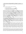<span id="page-23-0"></span>**11. ANNEX.AREAS OF PROGRAMMATIC INTEREST<sup>6</sup> (UN Agency** specific) (1-2 pages by each of the UN Agencies who have signed the MOU; agencies listed in order of signature)

## **1. UNDP**

UNDP has comparative advantages to deliver on the following:

- Provision of Essential Services,
- Community-Based Livelihoods and Local Economic Activities,
- Protecting Farm-based Livelihoods from Natural Disasters, and
- Community Resilience and Social Cohesion,

UNDP has been contributing to poverty reduction, income and revenue generation and sustainable livelihoods building in Afghanistan for the last five years and more, through support to agriculture, the private sector, and sustainable energy development in an integrated approach which included interventions on cash-based livelihoods generation, agriculture value chains support, small and medium enterprise (SMEs) support, regional cooperation for trade enhancement, energy efficiency and access to finance. In the process it has supported conversion illicit agriculture economies to licit ones. To reduce climate-induced disaster risks, it has constructed several small-scale infrastructures for water management, such as canal lining, water reservoirs and flood walls and introduced climate-smart agriculture techniques to vulnerable farmers, such as distribution of drought resilient seeds, greenhouse construction, micro irrigation support and integrated pest control, for improving livelihoods.

UNDP has been implementing over \$60 million (2020-2021 alone) in Global Fund-financed HIV, tuberculosis, malaria and COVID programmes with operational experience embedded within robust risk management framework and fiduciary controls, across all 34 provinces in Afghanistan, managing twenty (20) sub-recipients that are non-government organizations – including 14 Basic and Essential Public Health System implementing partners, strong working relationships with the Alliance of Health Organizations in Afghanistan, and technical partners (including WHO, UNICEF, UNFPA and others).

UNDP has been supporting community-based disaster early warning systems, enhancing communities' capacity to monitor weather, communicate warning messages and respond to disasters. Particularly UNDP has proven experience in Afghanistan and other LDC countries in solar / hybrid energy-based support to meet the needs in basic services delivery of health, water, sanitation, lighting and livelihoods including the building of solar value chain creating local ecosystems and enterprises for alternative livelihood opportunities. Particularly, UNDP brings comparative advantage on building social cohesion and inclusive participatory processes at the local level creating peace dividends, community-based planning / monitoring capacities,

<sup>&</sup>lt;sup>6</sup> Inputs to include (1) Thematic windows where your agency has comparative advantages to deliver; (2) Programmatic interventions in relevant thematic windows based on relevant experiences delivering similar interventions in 2020- 2021; (3) Volume of delivery in US dollars (in 2020); (4) Agency structure in Afghanistan (e.g. Presence in the capital; regional or district offices) and personnel footprint; (5) Human resource capacity with relevance to ABADEI (indicate areas of expertise – e.g. gender expertise); (6) Agency's modality of implementation in the current circumstances.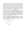promoting alternative justice mechanisms and human rights-based approach across its portfolio of work. UNDP along with other sister agencies has been in the forefront of mainstreaming gender equality and their economic empowerment in Afghanistan with gender targeted programmes on reducing inequalities, providing access to national mechanisms and livelihoods building by supporting innovative financing of women led women run enterprises for example. Therefore, UNDP has relevant experience in programming and delivering all the 14 outputs in Afghanistan under the four ABADEI outcomes except Output 2.1. UNDP will apply its experience gained and lessons learnt on providing unconditional cash support interventions, in similar contexts such as Yemen and Syria with establishment of tailored risk managed mechanisms. UNDP's annual delivery for 2020 and 2019 was \$428 million and \$451 million respectively.

UNDP Afghanistan is currently comprised of more than 320 personnel (whereof some 270 are nationally recruited and 50 internationally recruited) working in programmatic and operational areas. In addition to its office in the capital, UNDP will have eight regional offices, fully staffed with two international and six national colleagues by the end of November. Specifically, for ABADEI, UNDP is establishing the Programme Management Unit for its ABADEI programme. Headed by the Programme Manager, the Unit will have expertise in livelihoods, gender mainstreaming, cash-based intervention, engineer, database/ GIS, and community-based planning officers. The Regional Teams headed by the Regional Project Managers will involve expertise in infrastructure, livelihoods and M&E.

UNDP will use the Direct Implementation Modality and draw on its nationwide network of capable personnel, its already established four regional offices (including in Mazar, Herat, Jalalabad and Kandahar) at the provincial level, and a full roster of implementing partners throughout Afghanistan. The modality will combine direct implementation through UNDP as well as through NGOs and sister UN agencies.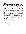#### **2. UN HABITAT**

UN-Habitat has delivered Humanitarian Development & Peace programmes worth \$ 520 million in Afghanistan since 1992, including during the previous Taliban regime between 1996 to 2001. These programmes have benefitted 7.3 million people (including 35% of women & children) delivering 28,500 houses; 1,247 Km of roads & pavements; 10 clinics; 44 schools; 35 parks/play-grounds; 117,457 jobs and scores of related community projects. During last 5-6 years, UN-Habitat Afghanistan has also delivered urban safety & security; community development; urban/municipal governance as well as Housing, Land and Property (HLP) programmes worth \$ 109 million. UN-Habitat also has well-calibrated financial, technological and human resource capacities, in place to scale-up operations to deliver a programming portfolio over \$ 100 million per annum.

Using its signature People's Process, UN Habitat delivers benefits directly at the grassroots level through democratically constituted, representative, inclusive, socially responsible & locally owned Community Development Councils (CDCs) independent of local government's influence – these CDCs can ensure effective engagement without benefiting the de facto authority. UN-Habitat has proven track record of recovery, stabilization and rebuilding of social and physical infrastructure in Afghanistan for sustainable resettlements utilizing its robust Country Team of 10 international advisors, 180 active national staff members, 1,100 project staff members on retainer basis and 1,137 Community Based Organizations (CBOs) across major urban centers in 13 key provinces. UN Habitat is also uniquely positioned to activate and scale-up local Citizens Charter institutions across Afghanistan.

UN-Habitat has had regional offices, staff and project teams in 13 provinces across all 8 regions of Afghanistan. These include Herat & Farah Provinces (Western Region); Nangarhar (Eastern Region); Kabul, Kapisa and Parwan (Central Region); Kunduz (North Eastern Region); Daikundi and Bamyan (Central Highlands Region); Balk (Northern Region); Kandahar and Helmand (Southern Region); and Paktiya (South Eastern Region). UN Habitat is also strategically and operationally well placed for direct delivery and substantive contributions towards the Integrated Results of STFA.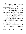## **3. UNCTAD**

The United Nations Conference on Trade and Development (UNCTAD) is the UN body responsible for integrating trade and development issues. It produces analyses that inform recommendations to policymakers to help them make decisions and design macroeconomic policies suited to ending global economic inequalities and supporting sustainable development. UNCTAD also offers direct technical assistance to help countries build their capacities to become equitably integrated into the global economy.

In Afghanistan, UNCTAD has been providing direct technical assistance to the Afghanistan Customs Department (ACD) within the Ministry of Finance and the Ministry of Commerce by implementing its ASYCUDA customs modernization program and providing trade facilitation assistance since early 2005. In 2003 the Government of Afghanistan sought to modernize its customs sector. UNCTAD's support was requested, and shortly after that, the agency was directly involved in drafting the new trade facilitation provisions, inland and international transit procedures, and other regulations. At this time, the Afghan Government selected the ASYCUDA++ (Automated SYstem for CUstoms DAta) Integrated Customs Management System, developed by UNCTAD, to computerize customs operations, revenue collection, and statistics gathering processes. As part of the ECMTFP, the ASYCUDA++ system was prototyped, piloted, and rolled out on the main transit axes and in the main Customs houses and offices in Afghanistan's secure West & Northern regions. The ASYCUDA component of the ECMTFP exceeded its objectives and expected outputs, and its remarkable results were highly appreciated by the Afghan Government and the international community.

Following this success, the Afghan Government and the ACD decided to implement ASYCUDA World, the latest version of the UNCTAD ASYCUDA system, throughout the whole of the country. Particular focus on combating corruption and the illicit traffic of goods by automating and recording all customs transactions, calculating customs duties and taxes, providing a transparent environment for both Customs and the trade community, and reducing the number of steps in the clearance process from 18 to 3.

By UNCTAD's direct technical assistance, The ASYCUDA system now covers more than 98 percent of international trade in Afghanistan, producing huge benefits for the country and boosting Customs' annual revenue from US\$50 million in 2005 to almost US\$1 billion in 2020. It has led to the re-organization and modernization of Customs in Afghanistan. The structure of all customs offices now reflects the much more straightforward and safer three-step process. Moreover, the computerization of customs operations has played an important role in the consistent and transparent enforcement of customs legislation, regulations, and procedures at the national level, in the implementation of risk management in customs operations, in the provision of accurate and timely information to decision-makers, and in the provision of timely and accurate revenue and customs statistics.

Considering the new political development and redactions of international financial assistance, the customs revenue has become the main source for funding public services such as health and education. Therefore, the UNCTAD engagement and technical support are vital for securing the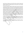major public services funding source. Also, UNCTAD assistance will directly support smooth trading, reducing the nation's imported food/health item prices. In addition, it will facilitate the exportation of agriculture and traditional export items, which affects the economy of Afghan families, especially in rural areas.

UNCTAD also, supporting the Afghanistan Exemption System. The system is replaced with the manual/paperwork procedure; with this system, all the exempted organizations can submit their request online, MFA can approve it on the system, and when ACQ HQ issues the exemption letter, it will be sent automatically to the customs system in customs offices for declaration and control. The system is a fully electronic process, from start to end, in a Paperless environment. It gives Multiple partners/different accesses and uses Data and documents normalization and Processes Standardization. Therefore, the humanitarian community can have easy and secure access to the system for Faster processing and increased transparency. With UNCTAD's assistance to the Chamber of Commerce, the Afghanistan TIR membership is reactivated. UNCTAD provided technical assistance and support to the country for WTO accession. The AFG ASYYCUDA Disaster Recovery Center (DRC) has been operational in the UNSBV center in Valencia, Spain, since December 2019. All trade data backup in DRC without delay. The DRC is maintained 24/7 by UNCTAD technical team. From the beginning of UNCTAD activities until now, 10797 customs officers, customs brokers, and trader community men and women have received various trade & ASYCUDA training from the UNCTAD team.

In addition to 6 international staff and consultants, a number of 30 National staff are working on the UNCTAD program in Kabul. Also, the 48 trained focal points are assisting UNCTAD at the provincial level. Furthermore, the UNCTAD, The ASYCUDA World system, supports the 30 customs houses countrywide; all the computerized sites are connected to the central server in the online format.

The UNCTAD Activities cover fifteen provinces in Afghanistan, including Kabul, Nangarhar, Balkh, Badakhshan, Herat, Farah, Nimruz, Kandahar, Paktia, Paktika, Takhar, Kunduz, Faryab, Kunar, and Khost.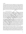### **4. UNFPA**

UNFPA, the UN Population Fund, has been in Afghanistan for 45 years and our commitment to women and girls remains unwavering: All women and girls have a non-negotiable right to live free from gender-based violence, harmful practices and discrimination, including child, early and forced marriage, anytime, anywhere. UNFPA is delivering integration reproductive health and GBV services at the community, village, and district levels, as well as in camps, and we are expanding and scaling up our existing service delivery points. UNFPA encourages everyone to respect a girl's right to go to school and receive an education, and for the rights, dignity and wellbeing of all women and girls to be upheld and protected, so that the gains made for the people of Afghanistan over the last 20 years are not eroded. UNFPA has comparative advantage to deliver on:

Provision of essential services:

Based on the AHS2018, roughly 10% of the population do not have access to essential health services -they live at a distance of more than 10 km from the existing Basic Package of Health Services (BPHS) facilities. In addition, around 28% of the population live beyond the 5Km from the nearest health facility which is considered with limited access to essential health services. However, the coverage differs from province to province e.g. Ghor (around 50%), Zabul (Around 60%), Badghis and Farah (Around 65%), Daikundi, Urozgan, Samangan (Around 75%). To address the essential RMNCH need of people living beyond the 10Km from the nearest health facility, the health system need a minimum of around 500 basic health facility. While, if the health system is addressing the essential RMNCH need of people with limited access living beyond 5Km from the nearest health facility, there is a need for an additional 1,313 basic health facilities.

In order to bridge the RMNCH gap in the so-called "White Areas", the Family Health Houses (FHH) model is the best option; it is a community-owned and governed facility. It is fully participatory throughout the process involves the community in the assessment, selection of location, selection of candidates for Community Midwifery Education, construction of building for FHH, and smooth running of FHHs. The Community Health Shura of FHH is the governance body of the FHH and takes responsibility for more than 50% contribution to the construction of FHH as well. It is a sustainable approach; it is for the community and for the community. The FHH model is also a best practice of women empowerment and leadership in a very remote and male dominant society. It is cost-effective and cost-efficient as well. The current practice of 172 FHHs in 9 provinces shows a more than 95% deployment rate and more than 98% retention rate. The establishment of 1313 new FHH will require around the US \$70 million for 3 years.

UNFPA, through its Family Health Houses, is expanding service delivery to remote areas of Afghanistan, including the 10% of the population who live a 2+ hour walk from the nearest government-run health facility. These services are currently continuing with minimal disruption. UNFPA is planning to expand the number of Family Health Houses to meet increased needs. In August and September alone, skilled birth attendants helped deliver 2,230 babies safely at UNFPA-supported Family Health Houses which are community-based health structures in hardto-reach areas of Afghanistan serving 1,500-4,000 people each. Family Health Houses are staffed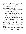by a trained Community Midwife recruited from the local population who provides reproductive, maternal, new-born, and child health services. Young community health workers take the lead in Afghanistan's most remote villages. In the same period, UNFPA also reached 8,483 women through 172 Family Health Houses; 18,871 women through 37 Family Protection Centres and 18 Women Friendly Health Spaces; and Served 40,085 people through 20 Mobile Health Teams (MHTs), 11 Mobile Outreach Teams and 4 Emergency Static Clinics.

UNFPA has delivered the following programmatic interventions:

- Family Health House (FHH): All 172 FHHs are functional and provide essential RMNCH services to people in need in the catchment areas.
- Mobile Health Team (MHT): UNFPA supports three functional MHTs in two provinces. UNFPA supports seven integrated MHTs.
- Static Emergency Clinics: The service delivery of four emergency clinics supported by UNFPA are continuing their services.
- Midwifery Help Line (MHL) continues providing technical guidance and support to midwives on duty from across the country.
- Youth Health Line (YHL): The YHL is functional. The female staff of YHL was able to return to work.
- Youth Health Corner (YHC): All 26 YHC are functional and facilitate youth-friendly health services to youth.
- Community Midwifery Education (CME) Program: All five CME schools are reopened in Kandahar, Badghis, Paktika, Samangan, and Kabul (for Nooristan) provinces. 120 out of 124 are enrolled.
- 37 Family Protection Centres (FPCs), 18 Women Friendly Health Spaces (WFHSs), and 9 out of 10 GBV Psychosocial Support Counselors (PSSC) Mobile Outreach Teams are functional.

The UNFPA Country Office volume of delivery in 2020 was US \$ 12,578,443.

UNFPA has an operational presence throughout Afghanistan, including specifically, the UNFPA main office in Kabul, and two project office in Bamyan and Herat Office. Moreover, UNFPA is planning to expand its presence by scale up the area office in Herat to cover the provinces in the Eastern Region. Also, UNFPA is in the process to establish two other area offices in Kandahar and Jalalabad to cover the provinces in the Southern Region and Eastern Region, respectively. However, UNFPA supported interventions through 11 Implementing Partners in 26 provinces of Afghanistan.

UNFPA is the leading UN agency in the area of Sexual and Reproductive Health and Rights. Specifically to the ABADEI area of intervention, UNFPA is pioneer of FHH model in Afghanistan has designed, piloted, and scaled up the Family Health House (FHH) model. UNFPA has developed the SOP and implementation manual for implementation, monitoring, and quality assurance of FHH model in the country. Moreover, UNFPA has provided technical support to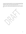other agencies has been implementing FHH in a few provinces, including the FHH funded through the Global Fund. UNFPA also provided technical support to BPHS implementing NGOs initiated implementation of FHH as innovative approach under the SEHAT Project.

UNFPA is no longer working with government implementing partners and continues to abide by the UN Sanctions List. UNFPA has shifted all implementation to NGOs, INGOs, UN Agencies or DEX.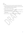## **5. ITC**

- (i) List the thematic windows where your agency has comparative advantages to deliver.
- (ii) Describe the programmatic interventions in relevant thematic windows based on relevant experiences delivering similar interventions in 2020-2021
- (iii)Volume of delivery in US dollars (in 2020)
- (iv) Outline your agency structure in Afghanistan (e.g. Presence in the capital; regional or district offices) and personnel footprint
- (v) Human resource capacity with relevance to ABADEI (indicate areas of expertise e.g. gender expertise)
- (vi) Describe your agency's modality of implementation in the current circumstances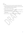#### 6. ILO

- (i) List the thematic windows where your agency has comparative advantages to deliver.
- (ii) Describe the programmatic interventions in relevant thematic windows based on relevant experiences delivering similar interventions in 2020-2021
- (iii)Volume of delivery in US dollars (in 2020)
- (iv) Outline your agency structure in Afghanistan (e.g. Presence in the capital; regional or district offices) and personnel footprint
- (v) Human resource capacity with relevance to ABADEI (indicate areas of expertise e.g. gender expertise)
- (vi) Describe your agency's modality of implementation in the current circumstances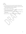#### 7. UNODC

- (i) List the thematic windows where your agency has comparative advantages to deliver.
- (ii) Describe the programmatic interventions in relevant thematic windows based on relevant experiences delivering similar interventions in 2020-2021
- (iii)Volume of delivery in US dollars (in 2020)
- (iv) Outline your agency structure in Afghanistan (e.g. Presence in the capital; regional or district offices) and personnel footprint
- (v) Human resource capacity with relevance to ABADEI (indicate areas of expertise e.g. gender expertise)
- (vi) Describe your agency's modality of implementation in the current circumstances